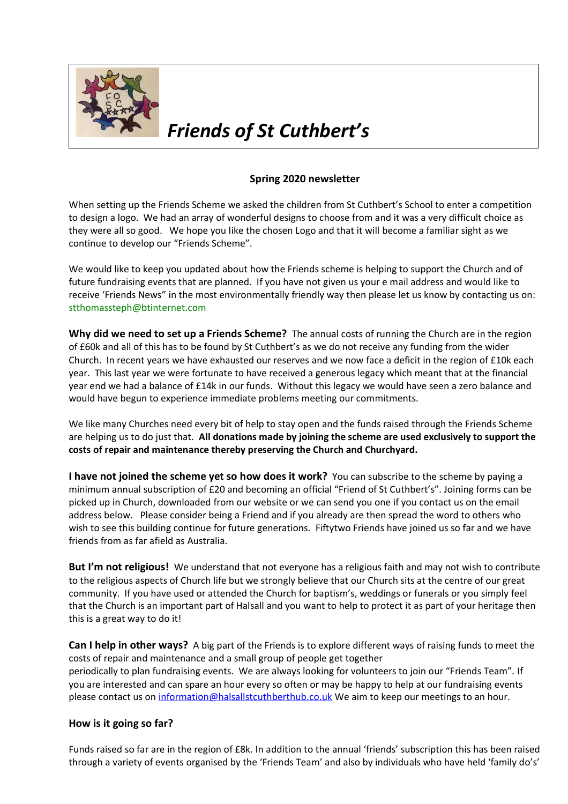

# *Friends of St Cuthbert's*

### **Spring 2020 newsletter**

When setting up the Friends Scheme we asked the children from St Cuthbert's School to enter a competition to design a logo. We had an array of wonderful designs to choose from and it was a very difficult choice as they were all so good. We hope you like the chosen Logo and that it will become a familiar sight as we continue to develop our "Friends Scheme".

We would like to keep you updated about how the Friends scheme is helping to support the Church and of future fundraising events that are planned. If you have not given us your e mail address and would like to receive 'Friends News" in the most environmentally friendly way then please let us know by contacting us on: stthomassteph@btinternet.com

**Why did we need to set up a Friends Scheme?** The annual costs of running the Church are in the region of £60k and all of this has to be found by St Cuthbert's as we do not receive any funding from the wider Church. In recent years we have exhausted our reserves and we now face a deficit in the region of £10k each year. This last year we were fortunate to have received a generous legacy which meant that at the financial year end we had a balance of £14k in our funds. Without this legacy we would have seen a zero balance and would have begun to experience immediate problems meeting our commitments.

We like many Churches need every bit of help to stay open and the funds raised through the Friends Scheme are helping us to do just that. **All donations made by joining the scheme are used exclusively to support the costs of repair and maintenance thereby preserving the Church and Churchyard.** 

**I have not joined the scheme yet so how does it work?** You can subscribe to the scheme by paying a minimum annual subscription of £20 and becoming an official "Friend of St Cuthbert's". Joining forms can be picked up in Church, downloaded from our website or we can send you one if you contact us on the email address below. Please consider being a Friend and if you already are then spread the word to others who wish to see this building continue for future generations. Fiftytwo Friends have joined us so far and we have friends from as far afield as Australia.

**But I'm not religious!** We understand that not everyone has a religious faith and may not wish to contribute to the religious aspects of Church life but we strongly believe that our Church sits at the centre of our great community. If you have used or attended the Church for baptism's, weddings or funerals or you simply feel that the Church is an important part of Halsall and you want to help to protect it as part of your heritage then this is a great way to do it!

**Can I help in other ways?** A big part of the Friends is to explore different ways of raising funds to meet the costs of repair and maintenance and a small group of people get together periodically to plan fundraising events. We are always looking for volunteers to join our "Friends Team". If you are interested and can spare an hour every so often or may be happy to help at our fundraising events please contact us on [information@halsallstcuthberthub.co.uk](mailto:information@halsallstcuthberthub.co.uk) We aim to keep our meetings to an hour.

#### **How is it going so far?**

Funds raised so far are in the region of £8k. In addition to the annual 'friends' subscription this has been raised through a variety of events organised by the 'Friends Team' and also by individuals who have held 'family do's'